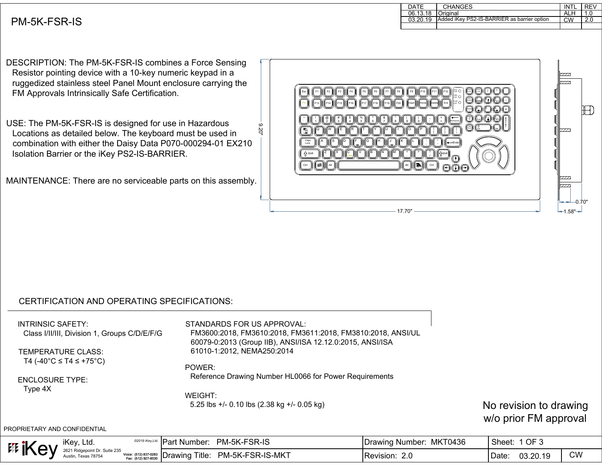| DATE     | <b>CHANGES</b>                              | INTI | REV |
|----------|---------------------------------------------|------|-----|
| 06.13.18 | <b>I</b> Original                           | ALH  |     |
| 03.20.19 | Added iKey PS2-IS-BARRIER as barrier option | CW   | 2.C |
|          |                                             |      |     |

## PM-5K-FSR-IS

DESCRIPTION: The PM-5K-FSR-IS combines a Force Sensing Resistor pointing device with a 10-key numeric keypad in a ruggedized stainless steel Panel Mount enclosure carrying the FM Approvals Intrinsically Safe Certification.

USE: The PM-5K-FSR-IS is designed for use in Hazardous Locations as detailed below. The keyboard must be used in combination with either the Daisy Data P070-000294-01 EX210 Isolation Barrier or the iKey PS2-IS-BARRIER.

MAINTENANCE: There are no serviceable parts on this assembly.

| ဖ<br>ğ | <b>Extra</b> O<br>$_{\rm F8}$<br>${\sf F4}$<br>${\sf F6}$<br>$\mathsf{F}2$<br>F <sub>3</sub><br>F <sub>5</sub><br>F7<br>F9<br>Esc<br>F <sub>1</sub><br>F10<br>$Cap$ <sub>Lock</sub> $O$<br>$\left  \frac{\text{Second}}{\text{Lock}} \right $<br>F <sub>16</sub><br>F20<br>F <sub>15</sub><br>$\frac{1}{2}$ (F <sub>18</sub> ) <sup>(</sup><br><b>II</b> F19<br>F13<br>F14<br><b>II</b> F17<br>End<br>Home<br>Insert<br><b>IDelete</b><br>Page<br>Up<br>$\frac{\%}{5}$<br>ä<br>6<br>8<br><b>Backspace</b><br>Page<br>Down<br>Έ<br>Ŕ<br>W<br>唾<br>ſG<br>ſſН<br>'s<br>ſκ<br>Caps<br>Lock<br>ſn<br>-Enter<br>ſГБ<br>ſC<br>▽<br>ſΝ<br>ſМ<br>$\,<$<br>$\overline{\mathbf{?}}$<br>∙ ∆shift'<br>$\hat{u}$ Shift<br>Ŧ<br> 調<br>Alt<br>B<br>Ctrl<br>Ctrl<br>Alt | V/T<br>7777<br>$\mathbb{Z}$<br>7777<br>7777.<br>$-$ 0.70" |
|--------|--------------------------------------------------------------------------------------------------------------------------------------------------------------------------------------------------------------------------------------------------------------------------------------------------------------------------------------------------------------------------------------------------------------------------------------------------------------------------------------------------------------------------------------------------------------------------------------------------------------------------------------------------------------------------------------------------------------------------------------------------------|-----------------------------------------------------------|
|        | $-17.70"$                                                                                                                                                                                                                                                                                                                                                                                                                                                                                                                                                                                                                                                                                                                                              | $-1.58$ " $\rightarrow$                                   |

## CERTIFICATION AND OPERATING SPECIFICATIONS:

INTRINSIC SAFETY:

Class I/II/III, Division 1, Groups C/D/E/F/G

TEMPERATURE CLASS: T4 (-40°C ≤ T4 ≤ +75°C) STANDARDS FOR US APPROVAL: FM3600:2018, FM3610:2018, FM3611:2018, FM3810:2018, ANSI/UL 60079-0:2013 (Group IIB), ANSI/ISA 12.12.0:2015, ANSI/ISA 61010-1:2012, NEMA250:2014

ENCLOSURE TYPE: Type 4X

POWER: Reference Drawing Number HL0066 for Power Requirements

WEIGHT: 5.25 lbs +/- 0.10 lbs (2.38 kg +/- 0.05 kg)

No revision to drawing w/o prior FM approval

PROPRIETARY AND CONFIDENTIAL

| iKey, Ltd.<br><b>EE ik</b>           |                                                 | -IPar<br>√Number    | PM-5K-FSR-IS     | MKT0436<br>IDrawing<br>. Number <sup>.</sup> | OF 3<br><b>Sheet</b> |           |
|--------------------------------------|-------------------------------------------------|---------------------|------------------|----------------------------------------------|----------------------|-----------|
| $\blacksquare$<br><b>Texas 78754</b> | (512) 837-0283<br>Voice:<br>cax: (512) 927-8530 | Title:<br>≒IDrawing | PM-5K-FSR-IS-MKT | $\sim$ $\sim$<br><b>IRevision:</b><br>Z.U    | 03.20.19<br>Date:    | <b>CW</b> |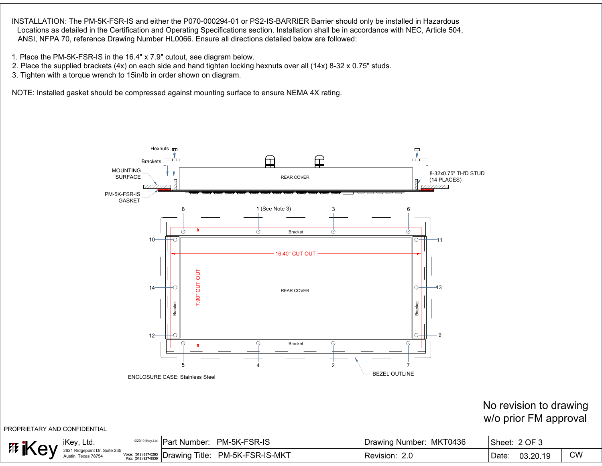- 
- 
- 



## No revision to drawing w/o prior FM approval

| No revision to drawing<br>w/o prior FM approval<br>ROPRIETARY AND CONFIDENTIAL |                                                                       |                         |                             |  |  |  |  |  |
|--------------------------------------------------------------------------------|-----------------------------------------------------------------------|-------------------------|-----------------------------|--|--|--|--|--|
| <sup>#</sup> iKey                                                              | <sup>©2019 iKey,Ltd.</sup> Part Number: PM-5K-FSR-IS                  | Drawing Number: MKT0436 | Sheet: 2 OF 3               |  |  |  |  |  |
| <b>iKey, Ltd.</b><br>2621 Ridgepoint Dr. Suite 235<br>Austin, Texas 78754      | $\frac{1}{100}$ Voice: (512) 837-0283 Drawing Title: PM-5K-FSR-IS-MKT | Revision: 2.0           | <b>CW</b><br>Date: 03.20.19 |  |  |  |  |  |